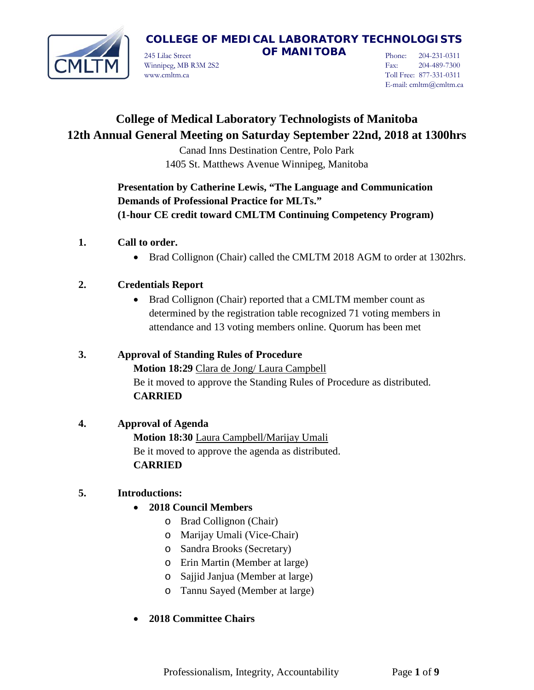

245 Lilac Street **OF MANITOBA** Winnipeg, MB R3M 2S2 www.cmltm.ca

Phone: 204-231-0311 Fax: 204-489-7300 Toll Free: 877-331-0311 E-mail: cmltm@cmltm.ca

# **College of Medical Laboratory Technologists of Manitoba 12th Annual General Meeting on Saturday September 22nd, 2018 at 1300hrs**

Canad Inns Destination Centre, Polo Park 1405 St. Matthews Avenue Winnipeg, Manitoba

## **Presentation by Catherine Lewis, "The Language and Communication Demands of Professional Practice for MLTs." (1-hour CE credit toward CMLTM Continuing Competency Program)**

- **1. Call to order.**
	- Brad Collignon (Chair) called the CMLTM 2018 AGM to order at 1302hrs.

## **2. Credentials Report**

• Brad Collignon (Chair) reported that a CMLTM member count as determined by the registration table recognized 71 voting members in attendance and 13 voting members online. Quorum has been met

## **3. Approval of Standing Rules of Procedure Motion 18:29** Clara de Jong/ Laura Campbell Be it moved to approve the Standing Rules of Procedure as distributed. **CARRIED**

## **4. Approval of Agenda**

**Motion 18:30** Laura Campbell/Marijay Umali Be it moved to approve the agenda as distributed. **CARRIED**

## **5. Introductions:**

- **2018 Council Members**
	- o Brad Collignon (Chair)
	- o Marijay Umali (Vice-Chair)
	- o Sandra Brooks (Secretary)
	- o Erin Martin (Member at large)
	- o Sajjid Janjua (Member at large)
	- o Tannu Sayed (Member at large)

## • **2018 Committee Chairs**

Professionalism, Integrity, Accountability Page **1** of **9**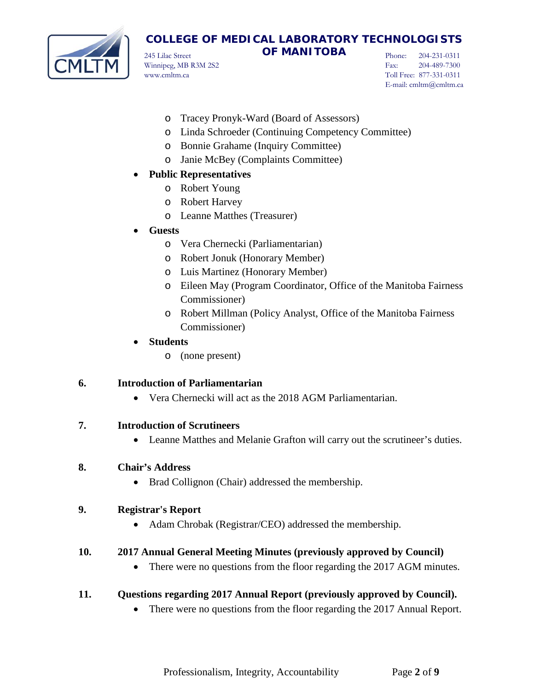

245 Lilac Street **OF MANITOBA** Winnipeg, MB R3M 2S2 www.cmltm.ca

Phone: 204-231-0311 Fax: 204-489-7300 Toll Free: 877-331-0311 E-mail: cmltm@cmltm.ca

- o Tracey Pronyk-Ward (Board of Assessors)
- o Linda Schroeder (Continuing Competency Committee)
- o Bonnie Grahame (Inquiry Committee)
- o Janie McBey (Complaints Committee)

### • **Public Representatives**

- o Robert Young
- o Robert Harvey
- o Leanne Matthes (Treasurer)

### • **Guests**

- o Vera Chernecki (Parliamentarian)
- o Robert Jonuk (Honorary Member)
- o Luis Martinez (Honorary Member)
- o Eileen May (Program Coordinator, Office of the Manitoba Fairness Commissioner)
- o Robert Millman (Policy Analyst, Office of the Manitoba Fairness Commissioner)
- **Students**
	- o (none present)

## **6. Introduction of Parliamentarian**

• Vera Chernecki will act as the 2018 AGM Parliamentarian.

### **7. Introduction of Scrutineers**

• Leanne Matthes and Melanie Grafton will carry out the scrutineer's duties.

### **8. Chair's Address**

• Brad Collignon (Chair) addressed the membership.

### **9. Registrar's Report**

• Adam Chrobak (Registrar/CEO) addressed the membership.

### **10. 2017 Annual General Meeting Minutes (previously approved by Council)**

• There were no questions from the floor regarding the 2017 AGM minutes.

### **11. Questions regarding 2017 Annual Report (previously approved by Council).**

• There were no questions from the floor regarding the 2017 Annual Report.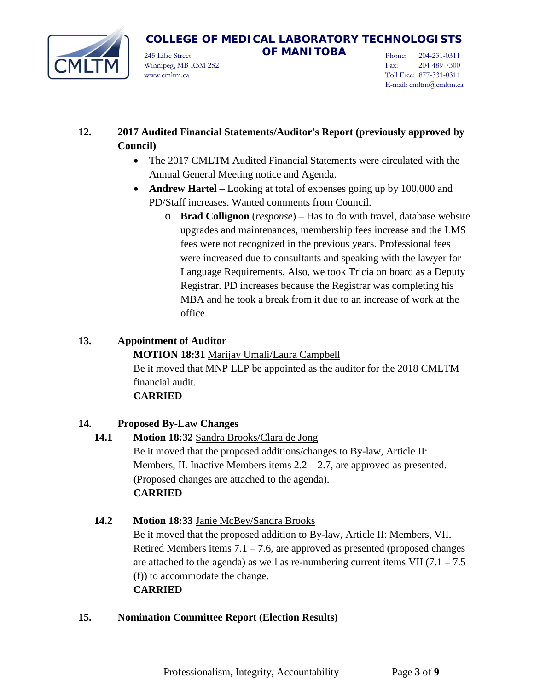

245 Lilac Street **OF MANITOBA** Winnipeg, MB R3M 2S2 www.cmltm.ca

Phone: 204-231-0311 Fax: 204-489-7300 Toll Free: 877-331-0311 E-mail: cmltm@cmltm.ca

## **12. 2017 Audited Financial Statements/Auditor's Report (previously approved by Council)**

- The 2017 CMLTM Audited Financial Statements were circulated with the Annual General Meeting notice and Agenda.
- **Andrew Hartel** Looking at total of expenses going up by 100,000 and PD/Staff increases. Wanted comments from Council.
	- o **Brad Collignon** (*response*) Has to do with travel, database website upgrades and maintenances, membership fees increase and the LMS fees were not recognized in the previous years. Professional fees were increased due to consultants and speaking with the lawyer for Language Requirements. Also, we took Tricia on board as a Deputy Registrar. PD increases because the Registrar was completing his MBA and he took a break from it due to an increase of work at the office.

## **13. Appointment of Auditor**

**MOTION 18:31** Marijay Umali/Laura Campbell Be it moved that MNP LLP be appointed as the auditor for the 2018 CMLTM financial audit.

### **CARRIED**

## **14. Proposed By-Law Changes**

**14.1 Motion 18:32** Sandra Brooks/Clara de Jong Be it moved that the proposed additions/changes to By-law, Article II: Members, II. Inactive Members items  $2.2 - 2.7$ , are approved as presented. (Proposed changes are attached to the agenda). **CARRIED**

## **14.2 Motion 18:33** Janie McBey/Sandra Brooks Be it moved that the proposed addition to By-law, Article II: Members, VII. Retired Members items  $7.1 - 7.6$ , are approved as presented (proposed changes are attached to the agenda) as well as re-numbering current items VII  $(7.1 – 7.5)$ (f)) to accommodate the change. **CARRIED**

## **15. Nomination Committee Report (Election Results)**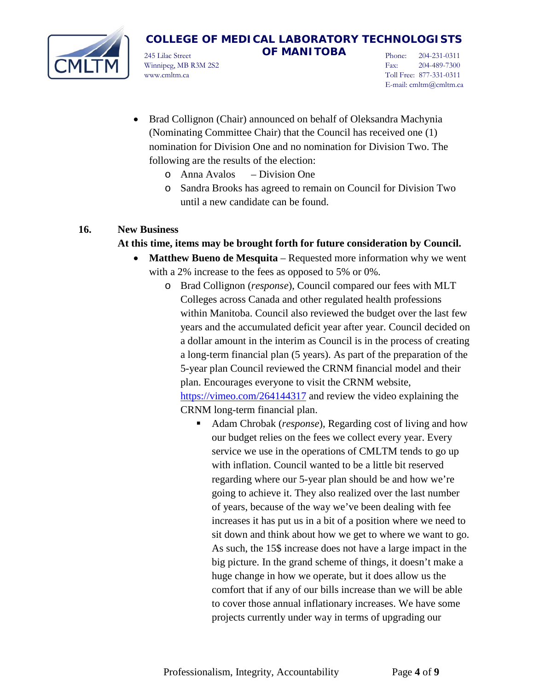

245 Lilac Street **OF MANITOBA** Winnipeg, MB R3M 2S2 www.cmltm.ca

Phone: 204-231-0311 Fax: 204-489-7300 Toll Free: 877-331-0311 E-mail: cmltm@cmltm.ca

- Brad Collignon (Chair) announced on behalf of Oleksandra Machynia (Nominating Committee Chair) that the Council has received one (1) nomination for Division One and no nomination for Division Two. The following are the results of the election:
	- o Anna Avalos Division One
	- o Sandra Brooks has agreed to remain on Council for Division Two until a new candidate can be found.

#### **16. New Business**

#### **At this time, items may be brought forth for future consideration by Council.**

- **Matthew Bueno de Mesquita**  Requested more information why we went with a 2% increase to the fees as opposed to 5% or 0%.
	- o Brad Collignon (*response*), Council compared our fees with MLT Colleges across Canada and other regulated health professions within Manitoba. Council also reviewed the budget over the last few years and the accumulated deficit year after year. Council decided on a dollar amount in the interim as Council is in the process of creating a long-term financial plan (5 years). As part of the preparation of the 5-year plan Council reviewed the CRNM financial model and their plan. Encourages everyone to visit the CRNM website, <https://vimeo.com/264144317> and review the video explaining the CRNM long-term financial plan.
		- Adam Chrobak (*response*), Regarding cost of living and how our budget relies on the fees we collect every year. Every service we use in the operations of CMLTM tends to go up with inflation. Council wanted to be a little bit reserved regarding where our 5-year plan should be and how we're going to achieve it. They also realized over the last number of years, because of the way we've been dealing with fee increases it has put us in a bit of a position where we need to sit down and think about how we get to where we want to go. As such, the 15\$ increase does not have a large impact in the big picture. In the grand scheme of things, it doesn't make a huge change in how we operate, but it does allow us the comfort that if any of our bills increase than we will be able to cover those annual inflationary increases. We have some projects currently under way in terms of upgrading our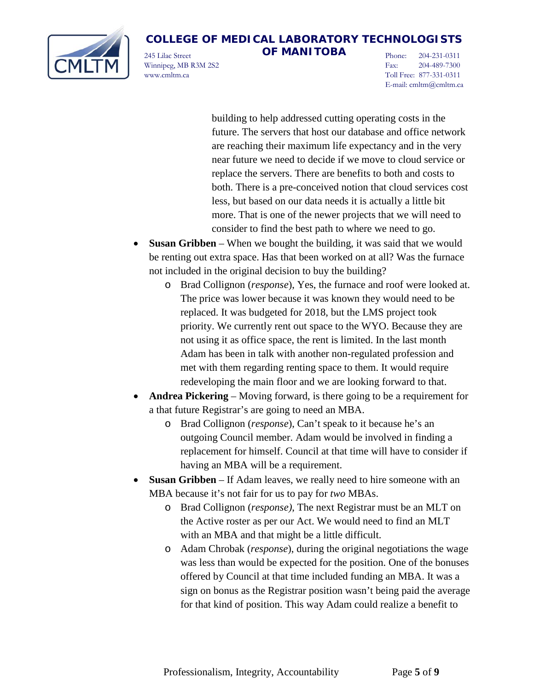

245 Lilac Street **OF MANITOBA** Winnipeg, MB R3M 2S2 www.cmltm.ca

Phone: 204-231-0311 Fax: 204-489-7300 Toll Free: 877-331-0311 E-mail: cmltm@cmltm.ca

building to help addressed cutting operating costs in the future. The servers that host our database and office network are reaching their maximum life expectancy and in the very near future we need to decide if we move to cloud service or replace the servers. There are benefits to both and costs to both. There is a pre-conceived notion that cloud services cost less, but based on our data needs it is actually a little bit more. That is one of the newer projects that we will need to consider to find the best path to where we need to go.

- **Susan Gribben** When we bought the building, it was said that we would be renting out extra space. Has that been worked on at all? Was the furnace not included in the original decision to buy the building?
	- o Brad Collignon (*response*), Yes, the furnace and roof were looked at. The price was lower because it was known they would need to be replaced. It was budgeted for 2018, but the LMS project took priority. We currently rent out space to the WYO. Because they are not using it as office space, the rent is limited. In the last month Adam has been in talk with another non-regulated profession and met with them regarding renting space to them. It would require redeveloping the main floor and we are looking forward to that.
- **Andrea Pickering** Moving forward, is there going to be a requirement for a that future Registrar's are going to need an MBA.
	- o Brad Collignon (*response*), Can't speak to it because he's an outgoing Council member. Adam would be involved in finding a replacement for himself. Council at that time will have to consider if having an MBA will be a requirement.
- **Susan Gribben**  If Adam leaves, we really need to hire someone with an MBA because it's not fair for us to pay for *two* MBAs.
	- o Brad Collignon (*response)*, The next Registrar must be an MLT on the Active roster as per our Act. We would need to find an MLT with an MBA and that might be a little difficult.
	- o Adam Chrobak (*response*), during the original negotiations the wage was less than would be expected for the position. One of the bonuses offered by Council at that time included funding an MBA. It was a sign on bonus as the Registrar position wasn't being paid the average for that kind of position. This way Adam could realize a benefit to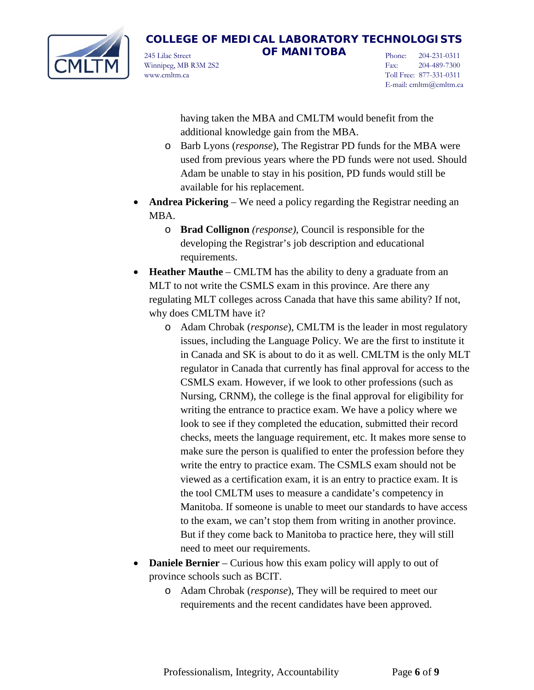

245 Lilac Street **OF MANITOBA** Winnipeg, MB R3M 2S2 www.cmltm.ca

Phone: 204-231-0311 Fax: 204-489-7300 Toll Free: 877-331-0311 E-mail: cmltm@cmltm.ca

having taken the MBA and CMLTM would benefit from the additional knowledge gain from the MBA.

- o Barb Lyons (*response*), The Registrar PD funds for the MBA were used from previous years where the PD funds were not used. Should Adam be unable to stay in his position, PD funds would still be available for his replacement.
- **Andrea Pickering**  We need a policy regarding the Registrar needing an MBA.
	- o **Brad Collignon** *(response)*, Council is responsible for the developing the Registrar's job description and educational requirements.
- **Heather Mauthe** CMLTM has the ability to deny a graduate from an MLT to not write the CSMLS exam in this province. Are there any regulating MLT colleges across Canada that have this same ability? If not, why does CMLTM have it?
	- o Adam Chrobak (*response*), CMLTM is the leader in most regulatory issues, including the Language Policy. We are the first to institute it in Canada and SK is about to do it as well. CMLTM is the only MLT regulator in Canada that currently has final approval for access to the CSMLS exam. However, if we look to other professions (such as Nursing, CRNM), the college is the final approval for eligibility for writing the entrance to practice exam. We have a policy where we look to see if they completed the education, submitted their record checks, meets the language requirement, etc. It makes more sense to make sure the person is qualified to enter the profession before they write the entry to practice exam. The CSMLS exam should not be viewed as a certification exam, it is an entry to practice exam. It is the tool CMLTM uses to measure a candidate's competency in Manitoba. If someone is unable to meet our standards to have access to the exam, we can't stop them from writing in another province. But if they come back to Manitoba to practice here, they will still need to meet our requirements.
- **Daniele Bernier** Curious how this exam policy will apply to out of province schools such as BCIT.
	- o Adam Chrobak (*response*), They will be required to meet our requirements and the recent candidates have been approved.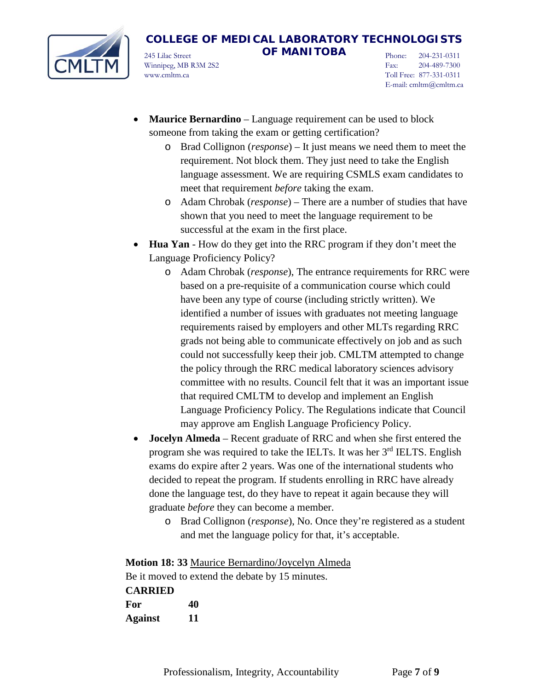

245 Lilac Street **OF MANITOBA** Winnipeg, MB R3M 2S2 www.cmltm.ca

Phone: 204-231-0311 Fax: 204-489-7300 Toll Free: 877-331-0311 E-mail: cmltm@cmltm.ca

- **Maurice Bernardino** Language requirement can be used to block someone from taking the exam or getting certification?
	- o Brad Collignon (*response*) It just means we need them to meet the requirement. Not block them. They just need to take the English language assessment. We are requiring CSMLS exam candidates to meet that requirement *before* taking the exam.
	- o Adam Chrobak (*response*) There are a number of studies that have shown that you need to meet the language requirement to be successful at the exam in the first place.
- **Hua Yan**  How do they get into the RRC program if they don't meet the Language Proficiency Policy?
	- o Adam Chrobak (*response*), The entrance requirements for RRC were based on a pre-requisite of a communication course which could have been any type of course (including strictly written). We identified a number of issues with graduates not meeting language requirements raised by employers and other MLTs regarding RRC grads not being able to communicate effectively on job and as such could not successfully keep their job. CMLTM attempted to change the policy through the RRC medical laboratory sciences advisory committee with no results. Council felt that it was an important issue that required CMLTM to develop and implement an English Language Proficiency Policy. The Regulations indicate that Council may approve am English Language Proficiency Policy.
- **Jocelyn Almeda** Recent graduate of RRC and when she first entered the program she was required to take the IELTs. It was her 3<sup>rd</sup> IELTS. English exams do expire after 2 years. Was one of the international students who decided to repeat the program. If students enrolling in RRC have already done the language test, do they have to repeat it again because they will graduate *before* they can become a member.
	- o Brad Collignon (*response*), No. Once they're registered as a student and met the language policy for that, it's acceptable.

**Motion 18: 33** Maurice Bernardino/Joycelyn Almeda Be it moved to extend the debate by 15 minutes. **CARRIED For 40 Against 11**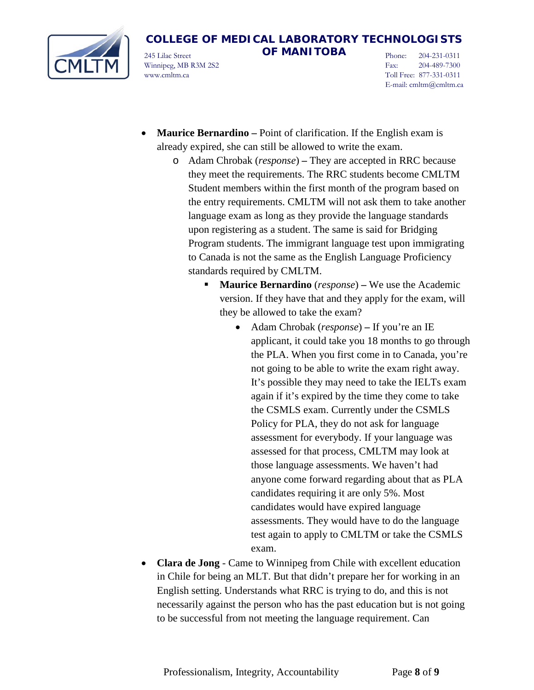

245 Lilac Street **OF MANITOBA** Winnipeg, MB R3M 2S2 www.cmltm.ca

Phone: 204-231-0311 Fax: 204-489-7300 Toll Free: 877-331-0311 E-mail: cmltm@cmltm.ca

- **Maurice Bernardino** Point of clarification. If the English exam is already expired, she can still be allowed to write the exam.
	- o Adam Chrobak (*response*) **–** They are accepted in RRC because they meet the requirements. The RRC students become CMLTM Student members within the first month of the program based on the entry requirements. CMLTM will not ask them to take another language exam as long as they provide the language standards upon registering as a student. The same is said for Bridging Program students. The immigrant language test upon immigrating to Canada is not the same as the English Language Proficiency standards required by CMLTM.
		- **Maurice Bernardino** (*response*) **–** We use the Academic version. If they have that and they apply for the exam, will they be allowed to take the exam?
			- Adam Chrobak (*response*) **–** If you're an IE applicant, it could take you 18 months to go through the PLA. When you first come in to Canada, you're not going to be able to write the exam right away. It's possible they may need to take the IELTs exam again if it's expired by the time they come to take the CSMLS exam. Currently under the CSMLS Policy for PLA, they do not ask for language assessment for everybody. If your language was assessed for that process, CMLTM may look at those language assessments. We haven't had anyone come forward regarding about that as PLA candidates requiring it are only 5%. Most candidates would have expired language assessments. They would have to do the language test again to apply to CMLTM or take the CSMLS exam.
- **Clara de Jong** Came to Winnipeg from Chile with excellent education in Chile for being an MLT. But that didn't prepare her for working in an English setting. Understands what RRC is trying to do, and this is not necessarily against the person who has the past education but is not going to be successful from not meeting the language requirement. Can